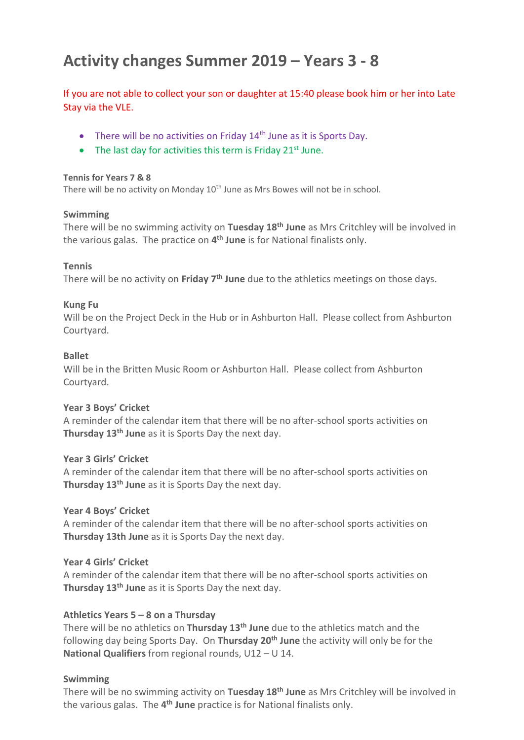# **Activity changes Summer 2019 – Years 3 - 8**

If you are not able to collect your son or daughter at 15:40 please book him or her into Late Stay via the VLE.

- There will be no activities on Friday  $14<sup>th</sup>$  June as it is Sports Day.
- $\bullet$  The last day for activities this term is Friday 21st June.

#### **Tennis for Years 7 & 8**

There will be no activity on Monday 10<sup>th</sup> June as Mrs Bowes will not be in school.

#### **Swimming**

There will be no swimming activity on **Tuesday 18th June** as Mrs Critchley will be involved in the various galas. The practice on **4 th June** is for National finalists only.

#### **Tennis**

There will be no activity on **Friday 7th June** due to the athletics meetings on those days.

### **Kung Fu**

Will be on the Project Deck in the Hub or in Ashburton Hall. Please collect from Ashburton Courtyard.

### **Ballet**

Will be in the Britten Music Room or Ashburton Hall. Please collect from Ashburton Courtyard.

## **Year 3 Boys' Cricket**

A reminder of the calendar item that there will be no after-school sports activities on **Thursday 13th June** as it is Sports Day the next day.

#### **Year 3 Girls' Cricket**

A reminder of the calendar item that there will be no after-school sports activities on **Thursday 13th June** as it is Sports Day the next day.

#### **Year 4 Boys' Cricket**

A reminder of the calendar item that there will be no after-school sports activities on **Thursday 13th June** as it is Sports Day the next day.

## **Year 4 Girls' Cricket**

A reminder of the calendar item that there will be no after-school sports activities on **Thursday 13th June** as it is Sports Day the next day.

## **Athletics Years 5 – 8 on a Thursday**

There will be no athletics on **Thursday 13th June** due to the athletics match and the following day being Sports Day. On **Thursday 20th June** the activity will only be for the **National Qualifiers** from regional rounds, U12 – U 14.

## **Swimming**

There will be no swimming activity on **Tuesday 18th June** as Mrs Critchley will be involved in the various galas. The **4 th June** practice is for National finalists only.